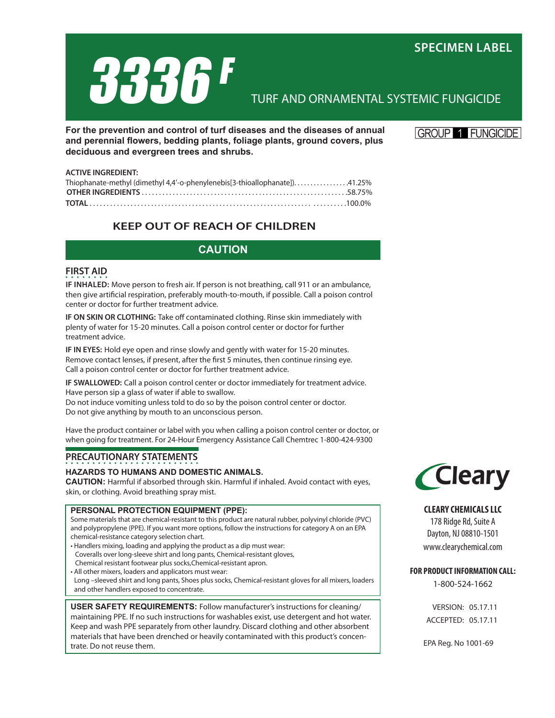

# TURF AND ORNAMENTAL SYSTEMIC FUNGICIDE

**For the prevention and control of turf diseases and the diseases of annual and perennial flowers, bedding plants, foliage plants, ground covers, plus deciduous and evergreen trees and shrubs.**

**GROUP FUNGICIDE** 

### **ACTIVE INGREDIENT:** Thiophanate-methyl (dimethyl 4,4'-o-phenylenebis[3-thioallophanate]). . . . . . . . . . . . . . . . .41.25% **OTHER INGREDIENTS** . . . . . . . . . . . . . . . . . . . . . . . . . . . . . . . . . . . . . . . . . . . . . . . . . . . . . . . . . . . .58.75% **TOTAL** . . . . . . . . . . . . . . . . . . . . . . . . . . . . . . . . . . . . . . . . . . . . . . . . . . . . . . . . . . . . . . . . . . . . . . . . . . .100.0%

# **KEEP OUT OF REACH OF CHILDREN**

# **CAUTION**

## **FIRST AID**

**IF inhaled:** Move person to fresh air. If person is not breathing, call 911 or an ambulance, then give artificial respiration, preferably mouth-to-mouth, if possible. Call a poison control center or doctor for further treatment advice.

**IF ON SKIN OR CLOTHING:** Take off contaminated clothing. Rinse skin immediately with plenty of water for 15-20 minutes. Call a poison control center or doctor for further treatment advice.

**IF IN EYES:** Hold eye open and rinse slowly and gently with water for 15-20 minutes. Remove contact lenses, if present, after the first 5 minutes, then continue rinsing eye. Call a poison control center or doctor for further treatment advice.

**IF SWALLOWED:** Call a poison control center or doctor immediately for treatment advice. Have person sip a glass of water if able to swallow.

Do not induce vomiting unless told to do so by the poison control center or doctor. Do not give anything by mouth to an unconscious person.

Have the product container or label with you when calling a poison control center or doctor, or when going for treatment. For 24-Hour Emergency Assistance Call Chemtrec 1-800-424-9300

# **PRECAUTIONARY STATEMENTS**

## **HAZARDS TO HUMANS AND DOMESTIC ANIMALS.**

**CAUTION:** Harmful if absorbed through skin. Harmful if inhaled. Avoid contact with eyes, skin, or clothing. Avoid breathing spray mist.

## **PERSONAL PROTECTION EQUIPMENT (PPE):**

Some materials that are chemical-resistant to this product are natural rubber, polyvinyl chloride (PVC) and polypropylene (PPE). If you want more options, follow the instructions for category A on an EPA chemical-resistance category selection chart.

- Handlers mixing, loading and applying the product as a dip must wear: Coveralls over long-sleeve shirt and long pants, Chemical-resistant gloves,
- Chemical resistant footwear plus socks,Chemical-resistant apron.
- All other mixers, loaders and applicators must wear: Long –sleeved shirt and long pants, Shoes plus socks, Chemical-resistant gloves for all mixers, loaders and other handlers exposed to concentrate.

**USER SAFETY REQUIREMENTS:** Follow manufacturer's instructions for cleaning/ maintaining PPE. If no such instructions for washables exist, use detergent and hot water. Keep and wash PPE separately from other laundry. Discard clothing and other absorbent materials that have been drenched or heavily contaminated with this product's concentrate. Do not reuse them.



## **CLEARY CHEMICALS LLC**

178 Ridge Rd, Suite A Dayton, NJ 08810-1501 www.clearychemical.com

## **FOR PRODUCT INFORMATION CALL:**

1-800-524-1662

VERSION: 05.17.11 ACCEPTED: 05.17.11

EPA Reg. No 1001-69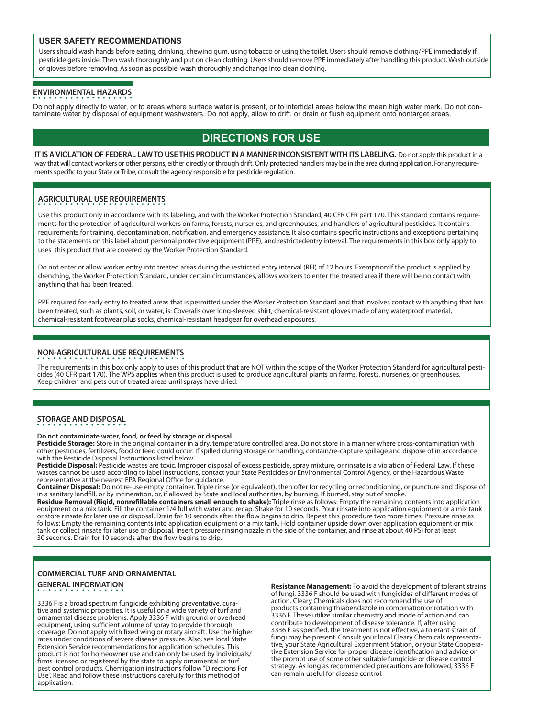### **USER SAFETY RECOMMENDATIONS**

Users should wash hands before eating, drinking, chewing gum, using tobacco or using the toilet. Users should remove clothing/PPE immediately if pesticide gets inside. Then wash thoroughly and put on clean clothing. Users should remove PPE immediately after handling this product. Wash outside of gloves before removing. As soon as possible, wash thoroughly and change into clean clothing.

## **ENVIRONMENTAL HAZARDS**

Do not apply directly to water, or to areas where surface water is present, or to intertidal areas below the mean high water mark. Do not contaminate water by disposal of equipment washwaters. Do not apply, allow to drift, or drain or flush equipment onto nontarget areas.

# **DIRECTIONS FOR USE**

**IT IS A VIOLATION OF FEDERAL LAW TO USE THIS PRODUCT IN A MANNER INCONSISTENT WITH ITS LABELING.** Do not apply this product in a way that will contact workers or other persons, either directly or through drift. Only protected handlers may be in the area during application. For any requirements specific to your State or Tribe, consult the agency responsible for pesticide regulation.

## **AGRICULTURAL USE REQUIREMENTS**

Use this product only in accordance with its labeling, and with the Worker Protection Standard, 40 CFR CFR part 170. This standard contains requirements for the protection of agricultural workers on farms, forests, nurseries, and greenhouses, and handlers of agricultural pesticides. It contains requirements for training, decontamination, notification, and emergency assistance. It also contains specific instructions and exceptions pertaining to the statements on this label about personal protective equipment (PPE), and restrictedentry interval. The requirements in this box only apply to uses this product that are covered by the Worker Protection Standard.

Do not enter or allow worker entry into treated areas during the restricted entry interval (REI) of 12 hours. Exemption:If the product is applied by drenching, the Worker Protection Standard, under certain circumstances, allows workers to enter the treated area if there will be no contact with anything that has been treated.

PPE required for early entry to treated areas that is permitted under the Worker Protection Standard and that involves contact with anything that has been treated, such as plants, soil, or water, is: Coveralls over long-sleeved shirt, chemical-resistant gloves made of any waterproof material, chemical-resistant footwear plus socks, chemical-resistant headgear for overhead exposures.

## **NON-AGRICULTURAL USE REQUIREMENTS**

The requirements in this box only apply to uses of this product that are NOT within the scope of the Worker Protection Standard for agricultural pesticides (40 CFR part 170). The WPS applies when this product is used to produce agricultural plants on farms, forests, nurseries, or greenhouses. Keep children and pets out of treated areas until sprays have dried.

## **STORAGE AND DISPOSAL**

### **Do not contaminate water, food, or feed by storage or disposal.**

**Pesticide Storage:** Store in the original container in a dry, temperature controlled area. Do not store in a manner where cross-contamination with other pesticides, fertilizers, food or feed could occur. If spilled during storage or handling, contain/re-capture spillage and dispose of in accordance with the Pesticide Disposal Instructions listed below.

Pesticide Disposal: Pesticide wastes are toxic. Improper disposal of excess pesticide, spray mixture, or rinsate is a violation of Federal Law. If these wastes cannot be used according to label instructions, contact your State Pesticides or Environmental Control Agency, or the Hazardous Waste representative at the nearest EPA Regional Office for guidance.

**Container Disposal:** Do not re-use empty container. Triple rinse (or equivalent), then offer for recycling or reconditioning, or puncture and dispose of in a sanitary landfill, or by incineration, or, if allowed by State and local authorities, by burning. If burned, stay out of smoke.

**Residue Removal (Rigid, nonrefillable containers small enough to shake):** Triple rinse as follows: Empty the remaining contents into application equipment or a mix tank. Fill the container 1/4 full with water and recap. Shake for 10 seconds. Pour rinsate into application equipment or a mix tank or store rinsate for later use or disposal. Drain for 10 seconds after the flow begins to drip. Repeat this procedure two more times. Pressure rinse as follows: Empty the remaining contents into application equipment or a mix tank. Hold container upside down over application equipment or mix tank or collect rinsate for later use or disposal. Insert pressure rinsing nozzle in the side of the container, and rinse at about 40 PSI for at least 30 seconds. Drain for 10 seconds after the flow begins to drip.

## **COMMERCIAL TURF AND ORNAMENTAL GENERAL INFORMATION**

3336 F is a broad spectrum fungicide exhibiting preventative, curative and systemic properties. It is useful on a wide variety of turf and ornamental disease problems. Apply 3336 F with ground or overhead equipment, using sufficient volume of spray to provide thorough coverage. Do not apply with fixed wing or rotary aircraft. Use the higher rates under conditions of severe disease pressure. Also, see local State Extension Service recommendations for application schedules. This product is not for homeowner use and can only be used by individuals/ firms licensed or registered by the state to apply ornamental or turf pest control products. Chemigation instructions follow "Directions For Use". Read and follow these instructions carefully for this method of application.

**Resistance Management:** To avoid the development of tolerant strains of fungi, 3336 F should be used with fungicides of different modes of action. Cleary Chemicals does not recommend the use of products containing thiabendazole in combination or rotation with 3336 F. These utilize similar chemistry and mode of action and can contribute to development of disease tolerance. If, after using 3336 F as specified, the treatment is not effective, a tolerant strain of fungi may be present. Consult your local Cleary Chemicals representative, your State Agricultural Experiment Station, or your State Cooperative Extension Service for proper disease identification and advice on the prompt use of some other suitable fungicide or disease control strategy. As long as recommended precautions are followed, 3336 F can remain useful for disease control.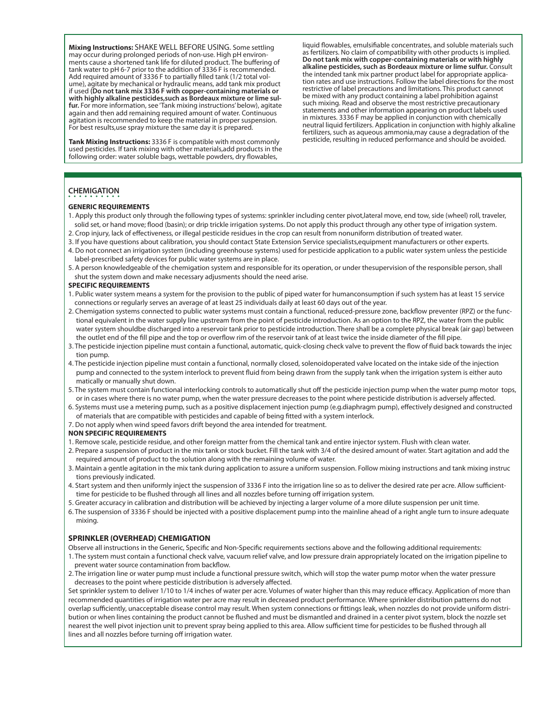**Mixing Instructions:** SHAKE WELL BEFORE USING. Some settling may occur during prolonged periods of non-use. High pH environments cause a shortened tank life for diluted product. The buffering of tank water to pH 6-7 prior to the addition of 3336 F is recommended. Add required amount of 3336 F to partially filled tank (1/2 total volume), agitate by mechanical or hydraulic means, add tank mix product if used **(Do not tank mix 3336 F with copper-containing materials or with highly alkaline pesticides,such as Bordeaux mixture or lime sulfur.** For more information, see 'Tank mixing instructions' below), agitate again and then add remaining required amount of water. Continuous agitation is recommended to keep the material in proper suspension. For best results,use spray mixture the same day it is prepared.

**Tank Mixing Instructions:** 3336 F is compatible with most commonly used pesticides. If tank mixing with other materials,add products in the following order: water soluble bags, wettable powders, dry flowables,

liquid flowables, emulsifiable concentrates, and soluble materials such as fertilizers. No claim of compatibility with other products is implied. **Do not tank mix with copper-containing materials or with highly alkaline pesticides, such as Bordeaux mixture or lime sulfur.** Consult the intended tank mix partner product label for appropriate application rates and use instructions. Follow the label directions for the most restrictive of label precautions and limitations. This product cannot be mixed with any product containing a label prohibition against such mixing. Read and observe the most restrictive precautionary statements and other information appearing on product labels used in mixtures. 3336 F may be applied in conjunction with chemically neutral liquid fertilizers. Application in conjunction with highly alkaline fertilizers, such as aqueous ammonia,may cause a degradation of the pesticide, resulting in reduced performance and should be avoided.

## **CHEMIGATION**

#### **GENERIC REQUIREMENTS**

- 1. Apply this product only through the following types of systems: sprinkler including center pivot,lateral move, end tow, side (wheel) roll, traveler, solid set, or hand move; flood (basin); or drip trickle irrigation systems. Do not apply this product through any other type of irrigation system.
- 2. Crop injury, lack of effectiveness, or illegal pesticide residues in the crop can result from nonuniform distribution of treated water.
- 3. If you have questions about calibration, you should contact State Extension Service specialists,equipment manufacturers or other experts. 4. Do not connect an irrigation system (including greenhouse systems) used for pesticide application to a public water system unless the pesticide label-prescribed safety devices for public water systems are in place.
- 5. A person knowledgeable of the chemigation system and responsible for its operation, or under thesupervision of the responsible person, shall shut the system down and make necessary adjusments should the need arise.

#### **SPECIFIC REQUIREMENTS**

- 1. Public water system means a system for the provision to the public of piped water for humanconsumption if such system has at least 15 service connections or regularly serves an average of at least 25 individuals daily at least 60 days out of the year.
- 2. Chemigation systems connected to public water systems must contain a functional, reduced-pressure zone, backflow preventer (RPZ) or the func tional equivalent in the water supply line upstream from the point of pesticide introduction. As an option to the RPZ, the water from the public water system shouldbe discharged into a reservoir tank prior to pesticide introduction. There shall be a complete physical break (air gap) between the outlet end of the fill pipe and the top or overflow rim of the reservoir tank of at least twice the inside diameter of the fill pipe.
- 3. The pesticide injection pipeline must contain a functional, automatic, quick-closing check valve to prevent the flow of fluid back towards the injec tion pump.
- 4. The pesticide injection pipeline must contain a functional, normally closed, solenoidoperated valve located on the intake side of the injection pump and connected to the system interlock to prevent fluid from being drawn from the supply tank when the irrigation system is either auto matically or manually shut down.
- 5. The system must contain functional interlocking controls to automatically shut off the pesticide injection pump when the water pump motor tops, or in cases where there is no water pump, when the water pressure decreases to the point where pesticide distribution is adversely affected.
- 6. Systems must use a metering pump, such as a positive displacement injection pump (e.g.diaphragm pump), effectively designed and constructed of materials that are compatible with pesticides and capable of being fitted with a system interlock.
- 7. Do not apply when wind speed favors drift beyond the area intended for treatment.

#### **NON SPECIFIC REQUIREMENTS**

- 1. Remove scale, pesticide residue, and other foreign matter from the chemical tank and entire injector system. Flush with clean water.
- 2. Prepare a suspension of product in the mix tank or stock bucket. Fill the tank with 3/4 of the desired amount of water. Start agitation and add the required amount of product to the solution along with the remaining volume of water.
- 3. Maintain a gentle agitation in the mix tank during application to assure a uniform suspension. Follow mixing instructions and tank mixing instruc tions previously indicated.
- 4. Start system and then uniformly inject the suspension of 3336 F into the irrigation line so as to deliver the desired rate per acre. Allow sufficient time for pesticide to be flushed through all lines and all nozzles before turning off irrigation system.
- 5. Greater accuracy in calibration and distribution will be achieved by injecting a larger volume of a more dilute suspension per unit time.
- 6. The suspension of 3336 F should be injected with a positive displacement pump into the mainline ahead of a right angle turn to insure adequate mixing.

### **SPRINKLER (OVERHEAD) CHEMIGATION**

Observe all instructions in the Generic, Specific and Non-Specific requirements sections above and the following additional requirements:

- 1. The system must contain a functional check valve, vacuum relief valve, and low pressure drain appropriately located on the irrigation pipeline to prevent water source contamination from backflow.
- 2. The irrigation line or water pump must include a functional pressure switch, which will stop the water pump motor when the water pressure decreases to the point where pesticide distribution is adversely affected.

Set sprinkler system to deliver 1/10 to 1/4 inches of water per acre. Volumes of water higher than this may reduce efficacy. Application of more than recommended quantities of irrigation water per acre may result in decreased product performance. Where sprinkler distribution patterns do not overlap sufficiently, unacceptable disease control may result. When system connections or fittings leak, when nozzles do not provide uniform distribution or when lines containing the product cannot be flushed and must be dismantled and drained in a center pivot system, block the nozzle set nearest the well pivot injection unit to prevent spray being applied to this area. Allow sufficient time for pesticides to be flushed through all lines and all nozzles before turning off irrigation water.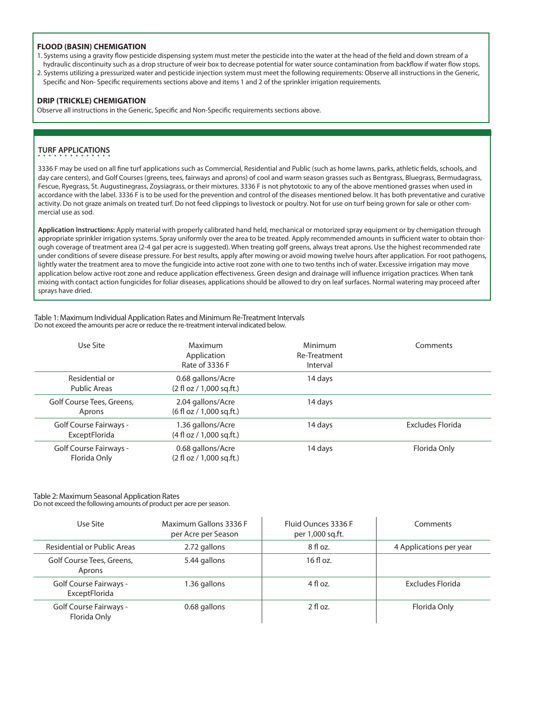### **FLOOD (BASIN) CHEMIGATION**

- 1. Systems using a gravity flow pesticide dispensing system must meter the pesticide into the water at the head of the field and down stream of a hydraulic discontinuity such as a drop structure of weir box to decrease potential for water source contamination from backflow if water flow stops.
- 2. Systems utilizing a pressurized water and pesticide injection system must meet the following requirements: Observe all instructions in the Generic, Specific and Non- Specific requirements sections above and items 1 and 2 of the sprinkler irrigation requirements.

### **DRIP (TRICKLE) CHEMIGATION**

Observe all instructions in the Generic, Specific and Non-Specific requirements sections above.

## **TURF APPLICATIONS**

3336 F may be used on all fine turf applications such as Commercial, Residential and Public (such as home lawns, parks, athletic fields, schools, and day care centers), and Golf Courses (greens, tees, fairways and aprons) of cool and warm season grasses such as Bentgrass, Bluegrass, Bermudagrass, Fescue, Ryegrass, St. Augustinegrass, Zoysiagrass, or their mixtures. 3336 F is not phytotoxic to any of the above mentioned grasses when used in accordance with the label. 3336 F is to be used for the prevention and control of the diseases mentioned below. It has both preventative and curative activity. Do not graze animals on treated turf. Do not feed clippings to livestock or poultry. Not for use on turf being grown for sale or other commercial use as sod.

**Application Instructions:** Apply material with properly calibrated hand held, mechanical or motorized spray equipment or by chemigation through appropriate sprinkler irrigation systems. Spray uniformly over the area to be treated. Apply recommended amounts in sufficient water to obtain thorough coverage of treatment area (2-4 gal per acre is suggested). When treating golf greens, always treat aprons. Use the highest recommended rate under conditions of severe disease pressure. For best results, apply after mowing or avoid mowing twelve hours after application. For root pathogens, lightly water the treatment area to move the fungicide into active root zone with one to two tenths inch of water. Excessive irrigation may move application below active root zone and reduce application effectiveness. Green design and drainage will influence irrigation practices. When tank mixing with contact action fungicides for foliar diseases, applications should be allowed to dry on leaf surfaces. Normal watering may proceed after sprays have dried.

#### Table 1: Maximum Individual Application Rates and Minimum Re-Treatment Intervals Do not exceed the amounts per acre or reduce the re-treatment interval indicated below.

| Use Site                                       | Maximum<br>Application<br>Rate of 3336 F                         | Minimum<br>Re-Treatment<br>Interval | Comments         |
|------------------------------------------------|------------------------------------------------------------------|-------------------------------------|------------------|
| Residential or<br>Public Areas                 | 0.68 gallons/Acre<br>$(2 \text{ fl oz} / 1,000 \text{ sq.fit.})$ | 14 days                             |                  |
| Golf Course Tees, Greens,<br>Aprons            | 2.04 gallons/Acre<br>$(6 \text{ fl oz} / 1,000 \text{ sq.fit.})$ | 14 days                             |                  |
| <b>Golf Course Fairways -</b><br>ExceptFlorida | 1.36 gallons/Acre<br>$(4 \text{ fl oz} / 1,000 \text{ sq.fit.})$ | 14 days                             | Excludes Florida |
| Golf Course Fairways -<br>Florida Only         | 0.68 gallons/Acre<br>$(2 \text{ fl oz} / 1,000 \text{ sq.fit.})$ | 14 days                             | Florida Only     |

### Table 2: Maximum Seasonal Application Rates

Do not exceed the following amounts of product per acre per season.

| Use Site                                       | Maximum Gallons 3336 F<br>per Acre per Season | Fluid Ounces 3336 F<br>per 1,000 sq.ft. | Comments                |
|------------------------------------------------|-----------------------------------------------|-----------------------------------------|-------------------------|
| Residential or Public Areas                    | 2.72 gallons                                  | $8f$ l oz.                              | 4 Applications per year |
| Golf Course Tees, Greens,<br>Aprons            | 5.44 gallons                                  | $16f$ loz.                              |                         |
| <b>Golf Course Fairways -</b><br>ExceptFlorida | 1.36 gallons                                  | $4$ fl oz.                              | Excludes Elorida        |
| Golf Course Fairways -<br>Florida Only         | 0.68 gallons                                  | $2$ fl oz.                              | Florida Only            |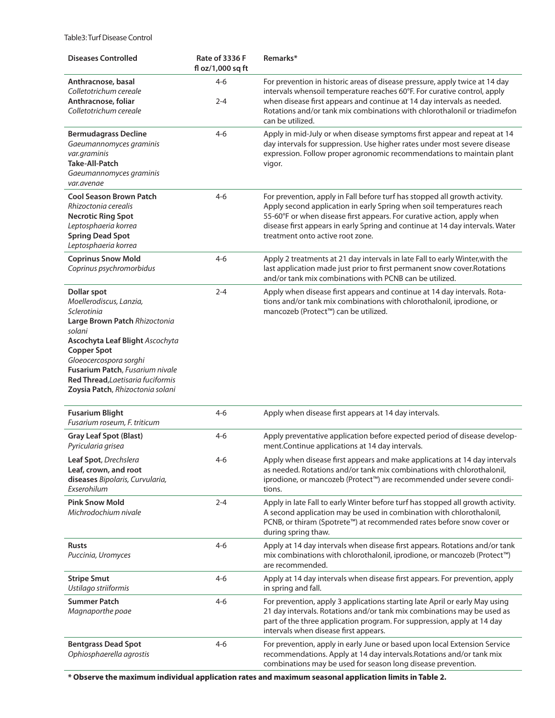Table3: Turf Disease Control

| <b>Diseases Controlled</b>                                                                                                                                                                                                                                                                                    | Rate of 3336 F<br>fl oz/1,000 sq ft | Remarks*                                                                                                                                                                                                                                                                                                                                           |
|---------------------------------------------------------------------------------------------------------------------------------------------------------------------------------------------------------------------------------------------------------------------------------------------------------------|-------------------------------------|----------------------------------------------------------------------------------------------------------------------------------------------------------------------------------------------------------------------------------------------------------------------------------------------------------------------------------------------------|
| Anthracnose, basal<br>Colletotrichum cereale<br>Anthracnose, foliar<br>Colletotrichum cereale                                                                                                                                                                                                                 | $4 - 6$<br>$2 - 4$                  | For prevention in historic areas of disease pressure, apply twice at 14 day<br>intervals whensoil temperature reaches 60°F. For curative control, apply<br>when disease first appears and continue at 14 day intervals as needed.<br>Rotations and/or tank mix combinations with chlorothalonil or triadimefon<br>can be utilized.                 |
| <b>Bermudagrass Decline</b><br>Gaeumannomyces graminis<br>var.graminis<br>Take-All-Patch<br>Gaeumannomyces graminis<br>var.avenae                                                                                                                                                                             | $4 - 6$                             | Apply in mid-July or when disease symptoms first appear and repeat at 14<br>day intervals for suppression. Use higher rates under most severe disease<br>expression. Follow proper agronomic recommendations to maintain plant<br>vigor.                                                                                                           |
| <b>Cool Season Brown Patch</b><br>Rhizoctonia cerealis<br><b>Necrotic Ring Spot</b><br>Leptosphaeria korrea<br><b>Spring Dead Spot</b><br>Leptosphaeria korrea                                                                                                                                                | $4 - 6$                             | For prevention, apply in Fall before turf has stopped all growth activity.<br>Apply second application in early Spring when soil temperatures reach<br>55-60°F or when disease first appears. For curative action, apply when<br>disease first appears in early Spring and continue at 14 day intervals. Water<br>treatment onto active root zone. |
| <b>Coprinus Snow Mold</b><br>Coprinus psychromorbidus                                                                                                                                                                                                                                                         | 4-6                                 | Apply 2 treatments at 21 day intervals in late Fall to early Winter, with the<br>last application made just prior to first permanent snow cover. Rotations<br>and/or tank mix combinations with PCNB can be utilized.                                                                                                                              |
| <b>Dollar spot</b><br>Moellerodiscus, Lanzia,<br>Sclerotinia<br>Large Brown Patch Rhizoctonia<br>solani<br><b>Ascochyta Leaf Blight Ascochyta</b><br><b>Copper Spot</b><br>Gloeocercospora sorghi<br>Fusarium Patch, Fusarium nivale<br>Red Thread, Laetisaria fuciformis<br>Zoysia Patch, Rhizoctonia solani | $2 - 4$                             | Apply when disease first appears and continue at 14 day intervals. Rota-<br>tions and/or tank mix combinations with chlorothalonil, iprodione, or<br>mancozeb (Protect™) can be utilized.                                                                                                                                                          |
| <b>Fusarium Blight</b><br>Fusarium roseum, F. triticum                                                                                                                                                                                                                                                        | $4 - 6$                             | Apply when disease first appears at 14 day intervals.                                                                                                                                                                                                                                                                                              |
| <b>Gray Leaf Spot (Blast)</b><br>Pyricularia grisea                                                                                                                                                                                                                                                           | $4 - 6$                             | Apply preventative application before expected period of disease develop-<br>ment.Continue applications at 14 day intervals.                                                                                                                                                                                                                       |
| Leaf Spot, Drechslera<br>Leaf, crown, and root<br>diseases Bipolaris, Curvularia,<br>Exserohilum                                                                                                                                                                                                              | 4-6                                 | Apply when disease first appears and make applications at 14 day intervals<br>as needed. Rotations and/or tank mix combinations with chlorothalonil,<br>iprodione, or mancozeb (Protect™) are recommended under severe condi-<br>tions.                                                                                                            |
| <b>Pink Snow Mold</b><br>Michrodochium nivale                                                                                                                                                                                                                                                                 | 2-4                                 | Apply in late Fall to early Winter before turf has stopped all growth activity.<br>A second application may be used in combination with chlorothalonil,<br>PCNB, or thiram (Spotrete™) at recommended rates before snow cover or<br>during spring thaw.                                                                                            |
| <b>Rusts</b><br>Puccinia, Uromyces                                                                                                                                                                                                                                                                            | 4-6                                 | Apply at 14 day intervals when disease first appears. Rotations and/or tank<br>mix combinations with chlorothalonil, iprodione, or mancozeb (Protect™)<br>are recommended.                                                                                                                                                                         |
| <b>Stripe Smut</b><br>Ustilago striiformis                                                                                                                                                                                                                                                                    | 4-6                                 | Apply at 14 day intervals when disease first appears. For prevention, apply<br>in spring and fall.                                                                                                                                                                                                                                                 |
| Summer Patch<br>Magnaporthe poae                                                                                                                                                                                                                                                                              | $4 - 6$                             | For prevention, apply 3 applications starting late April or early May using<br>21 day intervals. Rotations and/or tank mix combinations may be used as<br>part of the three application program. For suppression, apply at 14 day<br>intervals when disease first appears.                                                                         |
| <b>Bentgrass Dead Spot</b><br>Ophiosphaerella agrostis                                                                                                                                                                                                                                                        | 4-6                                 | For prevention, apply in early June or based upon local Extension Service<br>recommendations. Apply at 14 day intervals. Rotations and/or tank mix<br>combinations may be used for season long disease prevention.                                                                                                                                 |

**\* Observe the maximum individual application rates and maximum seasonal application limits in Table 2.**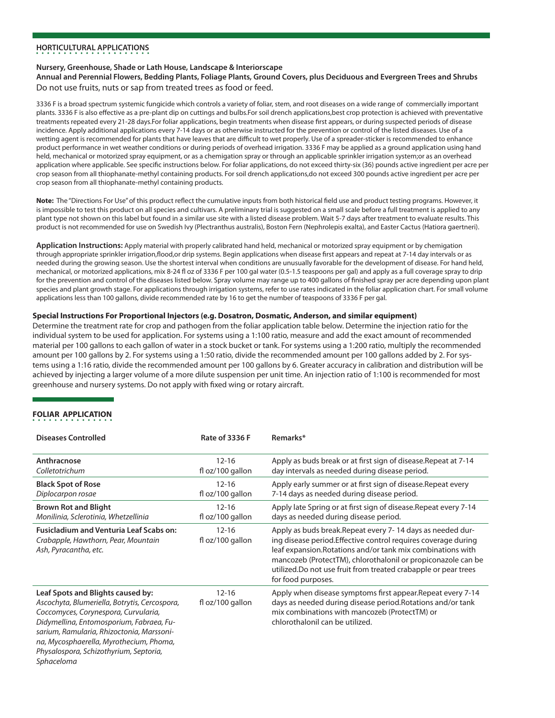## **HORTICULTURAL APPLICATIONS**

### **Nursery, Greenhouse, Shade or Lath House, Landscape & Interiorscape**

### **Annual and Perennial Flowers, Bedding Plants, Foliage Plants, Ground Covers, plus Deciduous and Evergreen Trees and Shrubs** Do not use fruits, nuts or sap from treated trees as food or feed.

3336 F is a broad spectrum systemic fungicide which controls a variety of foliar, stem, and root diseases on a wide range of commercially important plants. 3336 F is also effective as a pre-plant dip on cuttings and bulbs.For soil drench applications,best crop protection is achieved with preventative treatments repeated every 21-28 days.For foliar applications, begin treatments when disease first appears, or during suspected periods of disease incidence. Apply additional applications every 7-14 days or as otherwise instructed for the prevention or control of the listed diseases. Use of a wetting agent is recommended for plants that have leaves that are difficult to wet properly. Use of a spreader-sticker is recommended to enhance product performance in wet weather conditions or during periods of overhead irrigation. 3336 F may be applied as a ground application using hand held, mechanical or motorized spray equipment, or as a chemigation spray or through an applicable sprinkler irrigation system;or as an overhead application where applicable. See specific instructions below. For foliar applications, do not exceed thirty-six (36) pounds active ingredient per acre per crop season from all thiophanate-methyl containing products. For soil drench applications,do not exceed 300 pounds active ingredient per acre per crop season from all thiophanate-methyl containing products.

**Note:** The "Directions For Use" of this product reflect the cumulative inputs from both historical field use and product testing programs. However, it is impossible to test this product on all species and cultivars. A preliminary trial is suggested on a small scale before a full treatment is applied to any plant type not shown on this label but found in a similar use site with a listed disease problem. Wait 5-7 days after treatment to evaluate results. This product is not recommended for use on Swedish Ivy (Plectranthus australis), Boston Fern (Nephrolepis exalta), and Easter Cactus (Hatiora gaertneri).

**Application Instructions:** Apply material with properly calibrated hand held, mechanical or motorized spray equipment or by chemigation through appropriate sprinkler irrigation,flood,or drip systems. Begin applications when disease first appears and repeat at 7-14 day intervals or as needed during the growing season. Use the shortest interval when conditions are unusually favorable for the development of disease. For hand held, mechanical, or motorized applications, mix 8-24 fl oz of 3336 F per 100 gal water (0.5-1.5 teaspoons per gal) and apply as a full coverage spray to drip for the prevention and control of the diseases listed below. Spray volume may range up to 400 gallons of finished spray per acre depending upon plant species and plant growth stage. For applications through irrigation systems, refer to use rates indicated in the foliar application chart. For small volume applications less than 100 gallons, divide recommended rate by 16 to get the number of teaspoons of 3336 F per gal.

### **Special Instructions For Proportional Injectors (e.g. Dosatron, Dosmatic, Anderson, and similar equipment)**

Determine the treatment rate for crop and pathogen from the foliar application table below. Determine the injection ratio for the individual system to be used for application. For systems using a 1:100 ratio, measure and add the exact amount of recommended material per 100 gallons to each gallon of water in a stock bucket or tank. For systems using a 1:200 ratio, multiply the recommended amount per 100 gallons by 2. For systems using a 1:50 ratio, divide the recommended amount per 100 gallons added by 2. For systems using a 1:16 ratio, divide the recommended amount per 100 gallons by 6. Greater accuracy in calibration and distribution will be achieved by injecting a larger volume of a more dilute suspension per unit time. An injection ratio of 1:100 is recommended for most greenhouse and nursery systems. Do not apply with fixed wing or rotary aircraft.

## **FOLIAR APPLICATION**

| Diseases Controlled                                                                                                                                                                                                                                                                                                    | <b>Rate of 3336 F</b>         | Remarks*                                                                                                                                                                                                                                                                                                                                             |
|------------------------------------------------------------------------------------------------------------------------------------------------------------------------------------------------------------------------------------------------------------------------------------------------------------------------|-------------------------------|------------------------------------------------------------------------------------------------------------------------------------------------------------------------------------------------------------------------------------------------------------------------------------------------------------------------------------------------------|
| Anthracnose                                                                                                                                                                                                                                                                                                            | $12 - 16$                     | Apply as buds break or at first sign of disease. Repeat at 7-14                                                                                                                                                                                                                                                                                      |
| Colletotrichum                                                                                                                                                                                                                                                                                                         | fl oz/100 gallon              | day intervals as needed during disease period.                                                                                                                                                                                                                                                                                                       |
| <b>Black Spot of Rose</b>                                                                                                                                                                                                                                                                                              | $12 - 16$                     | Apply early summer or at first sign of disease. Repeat every                                                                                                                                                                                                                                                                                         |
| Diplocarpon rosae                                                                                                                                                                                                                                                                                                      | fl oz/100 gallon              | 7-14 days as needed during disease period.                                                                                                                                                                                                                                                                                                           |
| <b>Brown Rot and Blight</b>                                                                                                                                                                                                                                                                                            | $12 - 16$                     | Apply late Spring or at first sign of disease. Repeat every 7-14                                                                                                                                                                                                                                                                                     |
| Monilinia, Sclerotinia, Whetzellinia                                                                                                                                                                                                                                                                                   | fl oz/100 gallon              | days as needed during disease period.                                                                                                                                                                                                                                                                                                                |
| <b>Fusicladium and Venturia Leaf Scabs on:</b><br>Crabapple, Hawthorn, Pear, Mountain<br>Ash, Pyracantha, etc.                                                                                                                                                                                                         | $12 - 16$<br>fl oz/100 gallon | Apply as buds break. Repeat every 7-14 days as needed dur-<br>ing disease period. Effective control requires coverage during<br>leaf expansion. Rotations and/or tank mix combinations with<br>mancozeb (ProtectTM), chlorothalonil or propiconazole can be<br>utilized. Do not use fruit from treated crabapple or pear trees<br>for food purposes. |
| Leaf Spots and Blights caused by:<br>Ascochyta, Blumeriella, Botrytis, Cercospora,<br>Coccomyces, Corynespora, Curvularia,<br>Didymellina, Entomosporium, Fabraea, Fu-<br>sarium, Ramularia, Rhizoctonia, Marssoni-<br>na, Mycosphaerella, Myrothecium, Phoma,<br>Physalospora, Schizothyrium, Septoria,<br>Sphaceloma | $12 - 16$<br>fl oz/100 gallon | Apply when disease symptoms first appear. Repeat every 7-14<br>days as needed during disease period. Rotations and/or tank<br>mix combinations with mancozeb (ProtectTM) or<br>chlorothalonil can be utilized.                                                                                                                                       |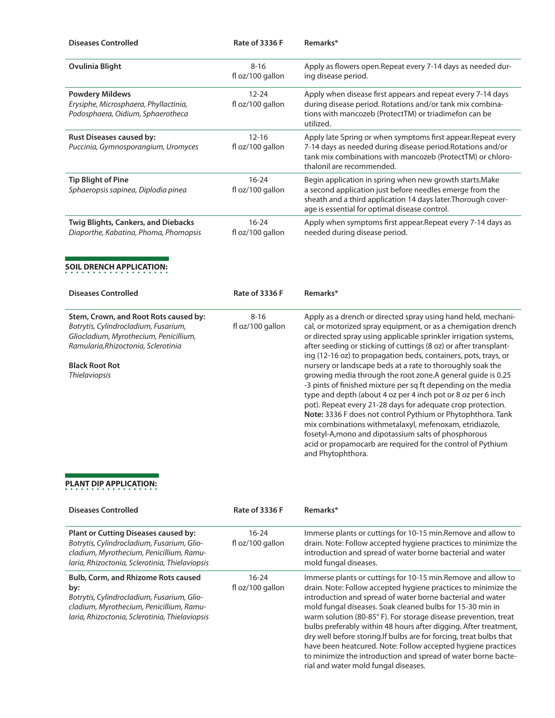| <b>Diseases Controlled</b>                                                                           | Rate of 3336 F                | Remarks*                                                                                                                                                                                                                               |
|------------------------------------------------------------------------------------------------------|-------------------------------|----------------------------------------------------------------------------------------------------------------------------------------------------------------------------------------------------------------------------------------|
| <b>Ovulinia Blight</b>                                                                               | $8 - 16$<br>fl oz/100 gallon  | Apply as flowers open. Repeat every 7-14 days as needed dur-<br>ing disease period.                                                                                                                                                    |
| <b>Powdery Mildews</b><br>Erysiphe, Microsphaera, Phyllactinia,<br>Podosphaera, Oidium, Sphaerotheca | $12 - 24$<br>fl oz/100 gallon | Apply when disease first appears and repeat every 7-14 days<br>during disease period. Rotations and/or tank mix combina-<br>tions with mancozeb (ProtectTM) or triadimefon can be<br>utilized.                                         |
| <b>Rust Diseases caused by:</b><br>Puccinia, Gymnosporangium, Uromyces                               | $12 - 16$<br>fl oz/100 gallon | Apply late Spring or when symptoms first appear. Repeat every<br>7-14 days as needed during disease period. Rotations and/or<br>tank mix combinations with mancozeb (ProtectTM) or chloro-<br>thalonil are recommended.                |
| <b>Tip Blight of Pine</b><br>Sphaeropsis sapinea, Diplodia pinea                                     | $16 - 24$<br>fl oz/100 gallon | Begin application in spring when new growth starts. Make<br>a second application just before needles emerge from the<br>sheath and a third application 14 days later. Thorough cover-<br>age is essential for optimal disease control. |
| Twig Blights, Cankers, and Diebacks<br>Diaporthe, Kabatina, Phoma, Phomopsis                         | $16-24$<br>fl oz/100 gallon   | Apply when symptoms first appear. Repeat every 7-14 days as<br>needed during disease period.                                                                                                                                           |
| <b>SOIL DRENCH APPLICATION:</b>                                                                      |                               |                                                                                                                                                                                                                                        |
| <b>Diseases Controlled</b>                                                                           | <b>Rate of 3336 F</b>         | Remarks*                                                                                                                                                                                                                               |
| Stem, Crown, and Root Rots caused by:                                                                | $8 - 16$                      | Apply as a drench or directed spray using hand held, mechani-                                                                                                                                                                          |

| Stem, Crown, and Root Rots caused by:  | $8 - 16$            | Apply as a drench or directed spray using hand held, mechani-     |
|----------------------------------------|---------------------|-------------------------------------------------------------------|
| Botrytis, Cylindrocladium, Fusarium,   | $f \sim 100$ gallon | cal, or motorized spray equipment, or as a chemigation drench     |
| Gliocladium, Myrothecium, Penicillium, |                     | or directed spray using applicable sprinkler irrigation systems,  |
| Ramularia, Rhizoctonia, Sclerotinia    |                     | after seeding or sticking of cuttings (8 oz) or after transplant- |
|                                        |                     | ing (12-16 oz) to propagation beds, containers, pots, trays, or   |
| <b>Black Root Rot</b>                  |                     | nursery or landscape beds at a rate to thoroughly soak the        |
| <b>Thielaviopsis</b>                   |                     | growing media through the root zone.A general quide is 0.25       |
|                                        |                     | -3 pints of finished mixture per sq ft depending on the media     |
|                                        |                     | type and depth (about 4 oz per 4 inch pot or 8 oz per 6 inch      |
|                                        |                     | pot). Repeat every 21-28 days for adequate crop protection.       |
|                                        |                     | Note: 3336 F does not control Pythium or Phytophthora. Tank       |
|                                        |                     | mix combinations withmetalaxyl, mefenoxam, etridiazole,           |
|                                        |                     | fosetyl-A, mono and dipotassium salts of phosphorous              |
|                                        |                     | acid or propamocarb are required for the control of Pythium       |
|                                        |                     | and Phytophthora.                                                 |
|                                        |                     |                                                                   |

# **PLANT DIP APPLICATION:**

| <b>Diseases Controlled</b>                                                                                                                                                                    | Rate of 3336 F                | Remarks*                                                                                                                                                                                                                                                                                                                                                                                                                                                                                                                                                                                                                                         |
|-----------------------------------------------------------------------------------------------------------------------------------------------------------------------------------------------|-------------------------------|--------------------------------------------------------------------------------------------------------------------------------------------------------------------------------------------------------------------------------------------------------------------------------------------------------------------------------------------------------------------------------------------------------------------------------------------------------------------------------------------------------------------------------------------------------------------------------------------------------------------------------------------------|
| <b>Plant or Cutting Diseases caused by:</b><br>Botrytis, Cylindrocladium, Fusarium, Glio-<br>cladium, Myrothecium, Penicillium, Ramu-<br>laria, Rhizoctonia, Sclerotinia, Thielaviopsis       | 16-24<br>fl oz/100 gallon     | Immerse plants or cuttings for 10-15 min.Remove and allow to<br>drain. Note: Follow accepted hygiene practices to minimize the<br>introduction and spread of water borne bacterial and water<br>mold fungal diseases.                                                                                                                                                                                                                                                                                                                                                                                                                            |
| <b>Bulb, Corm, and Rhizome Rots caused</b><br>by:<br>Botrytis, Cylindrocladium, Fusarium, Glio-<br>cladium, Myrothecium, Penicillium, Ramu-<br>laria, Rhizoctonia, Sclerotinia, Thielaviopsis | $16 - 24$<br>fl oz/100 gallon | Immerse plants or cuttings for 10-15 min. Remove and allow to<br>drain. Note: Follow accepted hygiene practices to minimize the<br>introduction and spread of water borne bacterial and water<br>mold fungal diseases. Soak cleaned bulbs for 15-30 min in<br>warm solution (80-85°F). For storage disease prevention, treat<br>bulbs preferably within 48 hours after digging. After treatment,<br>dry well before storing. If bulbs are for forcing, treat bulbs that<br>have been heatcured. Note: Follow accepted hygiene practices<br>to minimize the introduction and spread of water borne bacte-<br>rial and water mold fungal diseases. |